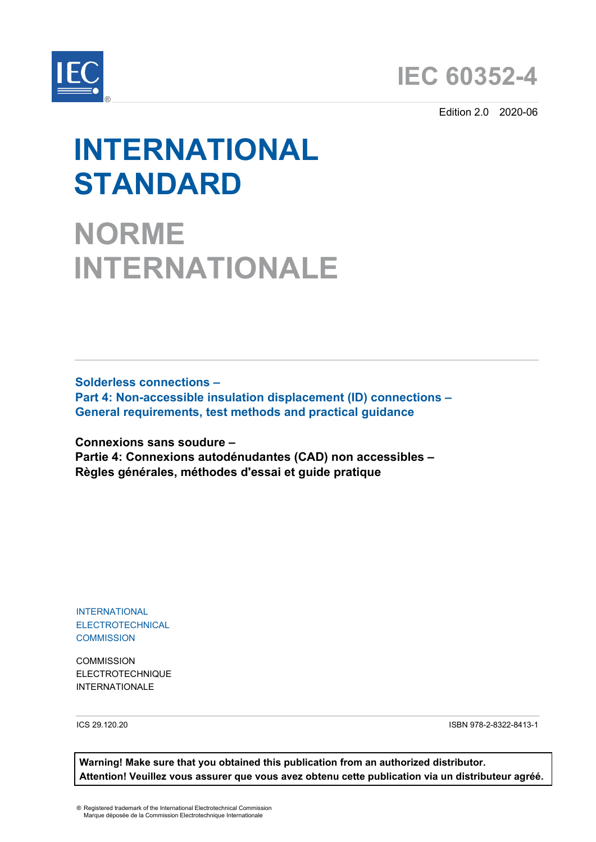



Edition 2.0 2020-06

# **INTERNATIONAL STANDARD**

**NORME INTERNATIONALE**

**Solderless connections – Part 4: Non-accessible insulation displacement (ID) connections – General requirements, test methods and practical guidance** 

**Connexions sans soudure – Partie 4: Connexions autodénudantes (CAD) non accessibles – Règles générales, méthodes d'essai et guide pratique**

INTERNATIONAL ELECTROTECHNICAL **COMMISSION** 

**COMMISSION** ELECTROTECHNIQUE INTERNATIONALE

ICS 29.120.20 ISBN 978-2-8322-8413-1

**Warning! Make sure that you obtained this publication from an authorized distributor. Attention! Veuillez vous assurer que vous avez obtenu cette publication via un distributeur agréé.**

® Registered trademark of the International Electrotechnical Commission Marque déposée de la Commission Electrotechnique Internationale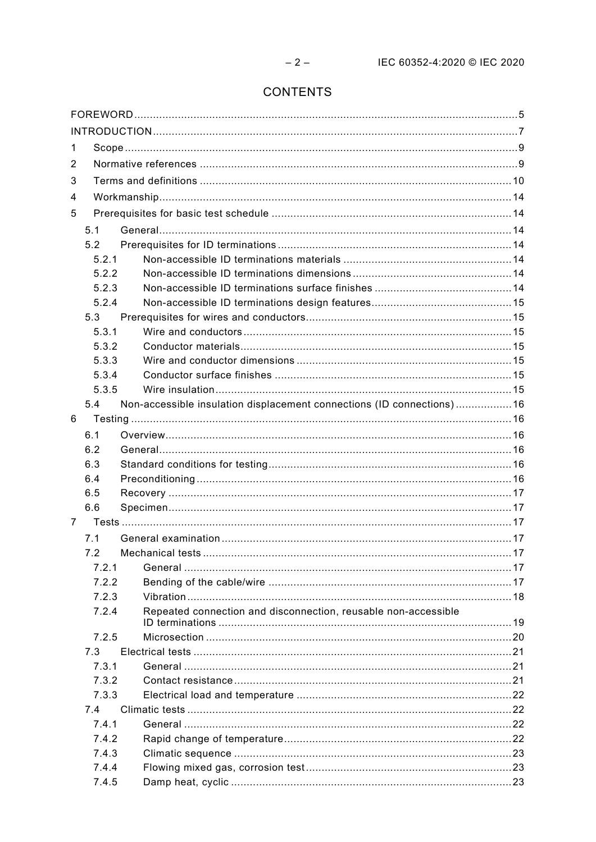# CONTENTS

| 1 |       |                                                                        |  |
|---|-------|------------------------------------------------------------------------|--|
| 2 |       |                                                                        |  |
| 3 |       |                                                                        |  |
| 4 |       |                                                                        |  |
| 5 |       |                                                                        |  |
|   | 5.1   |                                                                        |  |
|   | 5.2   |                                                                        |  |
|   | 5.2.1 |                                                                        |  |
|   | 5.2.2 |                                                                        |  |
|   | 5.2.3 |                                                                        |  |
|   | 5.2.4 |                                                                        |  |
|   | 5.3   |                                                                        |  |
|   | 5.3.1 |                                                                        |  |
|   | 5.3.2 |                                                                        |  |
|   | 5.3.3 |                                                                        |  |
|   | 5.3.4 |                                                                        |  |
|   | 5.3.5 |                                                                        |  |
|   | 5.4   | Non-accessible insulation displacement connections (ID connections) 16 |  |
| 6 |       |                                                                        |  |
|   | 6.1   |                                                                        |  |
|   | 6.2   |                                                                        |  |
|   | 6.3   |                                                                        |  |
|   | 6.4   |                                                                        |  |
|   | 6.5   |                                                                        |  |
|   | 6.6   |                                                                        |  |
| 7 |       |                                                                        |  |
|   | 7.1   |                                                                        |  |
|   | 7.2   |                                                                        |  |
|   | 7.2.1 |                                                                        |  |
|   | 7.2.2 |                                                                        |  |
|   | 7.2.3 |                                                                        |  |
|   | 7.2.4 | Repeated connection and disconnection, reusable non-accessible         |  |
|   | 7.2.5 |                                                                        |  |
|   | 7.3   |                                                                        |  |
|   | 7.3.1 |                                                                        |  |
|   | 7.3.2 |                                                                        |  |
|   | 7.3.3 |                                                                        |  |
|   | 7.4   |                                                                        |  |
|   | 7.4.1 |                                                                        |  |
|   | 7.4.2 |                                                                        |  |
|   | 7.4.3 |                                                                        |  |
|   | 7.4.4 |                                                                        |  |
|   | 7.4.5 |                                                                        |  |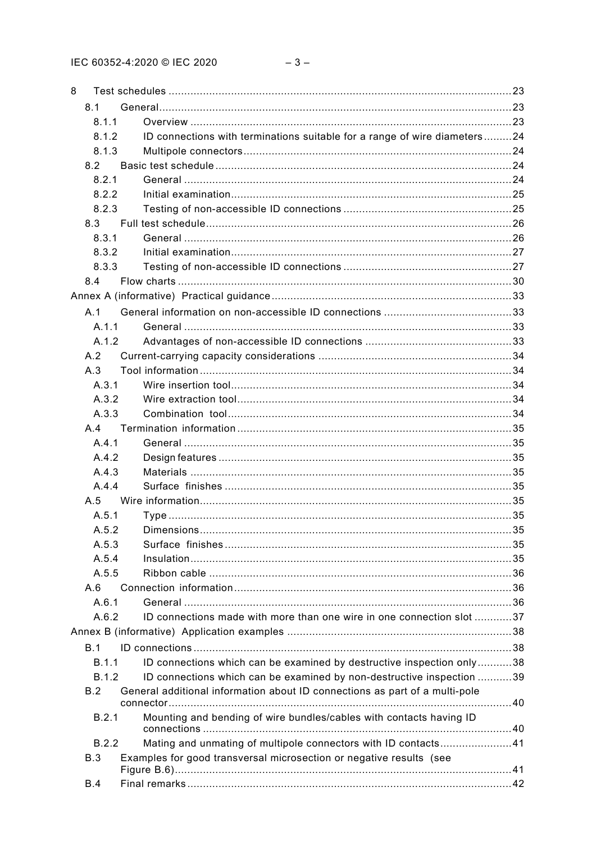| 8 |            |                                                                             |     |
|---|------------|-----------------------------------------------------------------------------|-----|
|   | 8.1        |                                                                             |     |
|   | 8.1.1      |                                                                             |     |
|   | 8.1.2      | ID connections with terminations suitable for a range of wire diameters24   |     |
|   | 8.1.3      |                                                                             |     |
|   | 8.2        |                                                                             |     |
|   | 8.2.1      |                                                                             |     |
|   | 8.2.2      |                                                                             |     |
|   | 8.2.3      |                                                                             |     |
|   | 8.3        |                                                                             |     |
|   | 8.3.1      |                                                                             |     |
|   | 8.3.2      |                                                                             |     |
|   | 8.3.3      |                                                                             |     |
|   | 8.4        |                                                                             |     |
|   |            |                                                                             |     |
|   | A.1        |                                                                             |     |
|   | A.1.1      |                                                                             |     |
|   | A.1.2      |                                                                             |     |
|   | A.2        |                                                                             |     |
|   | A.3        |                                                                             |     |
|   | A.3.1      |                                                                             |     |
|   | A.3.2      |                                                                             |     |
|   | A.3.3      |                                                                             |     |
|   | A.4        |                                                                             |     |
|   | A.4.1      |                                                                             |     |
|   | A.4.2      |                                                                             |     |
|   | A.4.3      |                                                                             |     |
|   | A.4.4      |                                                                             |     |
|   | A.5        |                                                                             |     |
|   | A.5.1      |                                                                             |     |
|   | A.5.2      |                                                                             |     |
|   | A.5.3      |                                                                             |     |
|   | A.5.4      |                                                                             |     |
|   | A.5.5      |                                                                             |     |
|   | A.6        |                                                                             |     |
|   | A.6.1      |                                                                             |     |
|   | A.6.2      | ID connections made with more than one wire in one connection slot 37       |     |
|   |            |                                                                             |     |
|   | B.1        |                                                                             |     |
|   | B.1.1      | ID connections which can be examined by destructive inspection only38       |     |
|   | B.1.2      | ID connections which can be examined by non-destructive inspection 39       |     |
|   | B.2        | General additional information about ID connections as part of a multi-pole |     |
|   | B.2.1      | Mounting and bending of wire bundles/cables with contacts having ID         |     |
|   | B.2.2      | Mating and unmating of multipole connectors with ID contacts41              |     |
|   | B.3        | Examples for good transversal microsection or negative results (see         |     |
|   | <b>B.4</b> |                                                                             | .42 |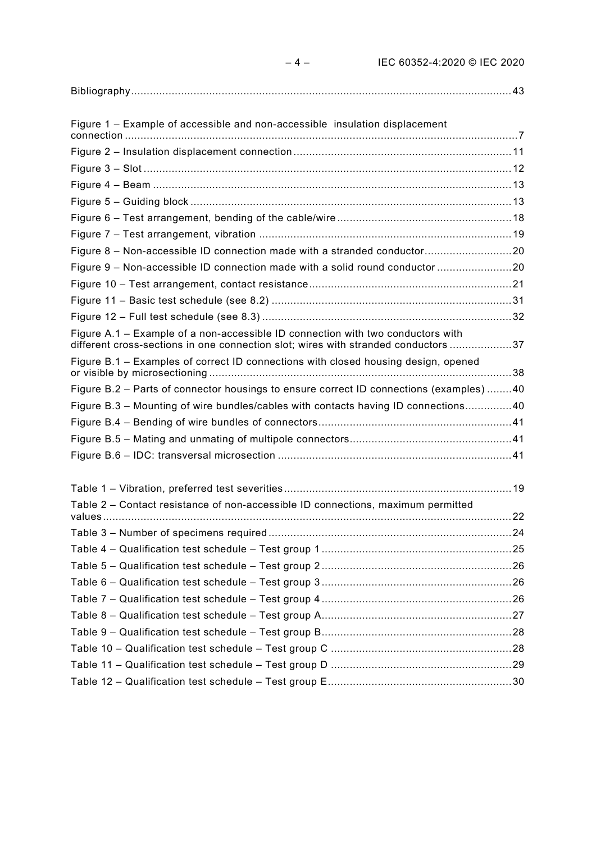| Figure 1 – Example of accessible and non-accessible insulation displacement                                                                                           |  |
|-----------------------------------------------------------------------------------------------------------------------------------------------------------------------|--|
|                                                                                                                                                                       |  |
|                                                                                                                                                                       |  |
|                                                                                                                                                                       |  |
|                                                                                                                                                                       |  |
|                                                                                                                                                                       |  |
|                                                                                                                                                                       |  |
| Figure 8 - Non-accessible ID connection made with a stranded conductor20                                                                                              |  |
| Figure 9 - Non-accessible ID connection made with a solid round conductor 20                                                                                          |  |
|                                                                                                                                                                       |  |
|                                                                                                                                                                       |  |
|                                                                                                                                                                       |  |
| Figure A.1 - Example of a non-accessible ID connection with two conductors with<br>different cross-sections in one connection slot; wires with stranded conductors 37 |  |
| Figure B.1 - Examples of correct ID connections with closed housing design, opened                                                                                    |  |
| Figure B.2 - Parts of connector housings to ensure correct ID connections (examples) 40                                                                               |  |
| Figure B.3 - Mounting of wire bundles/cables with contacts having ID connections40                                                                                    |  |
|                                                                                                                                                                       |  |
|                                                                                                                                                                       |  |
|                                                                                                                                                                       |  |
|                                                                                                                                                                       |  |
| Table 2 - Contact resistance of non-accessible ID connections, maximum permitted                                                                                      |  |
|                                                                                                                                                                       |  |
|                                                                                                                                                                       |  |
|                                                                                                                                                                       |  |
|                                                                                                                                                                       |  |
|                                                                                                                                                                       |  |
|                                                                                                                                                                       |  |
|                                                                                                                                                                       |  |
|                                                                                                                                                                       |  |
|                                                                                                                                                                       |  |
|                                                                                                                                                                       |  |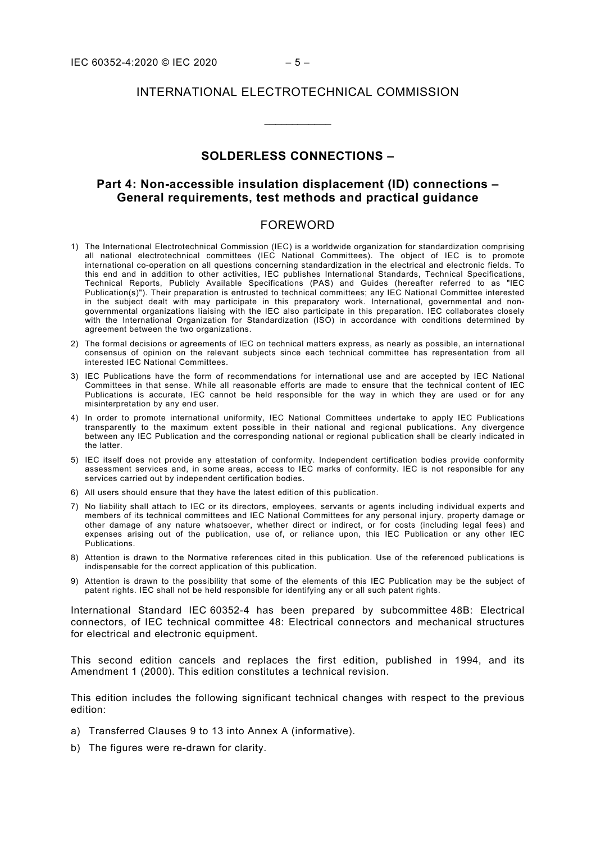## INTERNATIONAL ELECTROTECHNICAL COMMISSION

\_\_\_\_\_\_\_\_\_\_\_\_

# **SOLDERLESS CONNECTIONS –**

## **Part 4: Non-accessible insulation displacement (ID) connections – General requirements, test methods and practical guidance**

#### FOREWORD

- <span id="page-4-0"></span>1) The International Electrotechnical Commission (IEC) is a worldwide organization for standardization comprising all national electrotechnical committees (IEC National Committees). The object of IEC is to promote international co-operation on all questions concerning standardization in the electrical and electronic fields. To this end and in addition to other activities, IEC publishes International Standards, Technical Specifications, Technical Reports, Publicly Available Specifications (PAS) and Guides (hereafter referred to as "IEC Publication(s)"). Their preparation is entrusted to technical committees; any IEC National Committee interested in the subject dealt with may participate in this preparatory work. International, governmental and nongovernmental organizations liaising with the IEC also participate in this preparation. IEC collaborates closely with the International Organization for Standardization (ISO) in accordance with conditions determined by agreement between the two organizations.
- 2) The formal decisions or agreements of IEC on technical matters express, as nearly as possible, an international consensus of opinion on the relevant subjects since each technical committee has representation from all interested IEC National Committees.
- 3) IEC Publications have the form of recommendations for international use and are accepted by IEC National Committees in that sense. While all reasonable efforts are made to ensure that the technical content of IEC Publications is accurate, IEC cannot be held responsible for the way in which they are used or for any misinterpretation by any end user.
- 4) In order to promote international uniformity, IEC National Committees undertake to apply IEC Publications transparently to the maximum extent possible in their national and regional publications. Any divergence between any IEC Publication and the corresponding national or regional publication shall be clearly indicated in the latter.
- 5) IEC itself does not provide any attestation of conformity. Independent certification bodies provide conformity assessment services and, in some areas, access to IEC marks of conformity. IEC is not responsible for any services carried out by independent certification bodies.
- 6) All users should ensure that they have the latest edition of this publication.
- 7) No liability shall attach to IEC or its directors, employees, servants or agents including individual experts and members of its technical committees and IEC National Committees for any personal injury, property damage or other damage of any nature whatsoever, whether direct or indirect, or for costs (including legal fees) and expenses arising out of the publication, use of, or reliance upon, this IEC Publication or any other IEC Publications.
- 8) Attention is drawn to the Normative references cited in this publication. Use of the referenced publications is indispensable for the correct application of this publication.
- 9) Attention is drawn to the possibility that some of the elements of this IEC Publication may be the subject of patent rights. IEC shall not be held responsible for identifying any or all such patent rights.

International Standard IEC 60352-4 has been prepared by subcommittee 48B: Electrical connectors, of IEC technical committee 48: Electrical connectors and mechanical structures for electrical and electronic equipment.

This second edition cancels and replaces the first edition, published in 1994, and its Amendment 1 (2000). This edition constitutes a technical revision.

This edition includes the following significant technical changes with respect to the previous edition:

- a) Transferred Clauses 9 to 13 into Annex A (informative).
- b) The figures were re-drawn for clarity.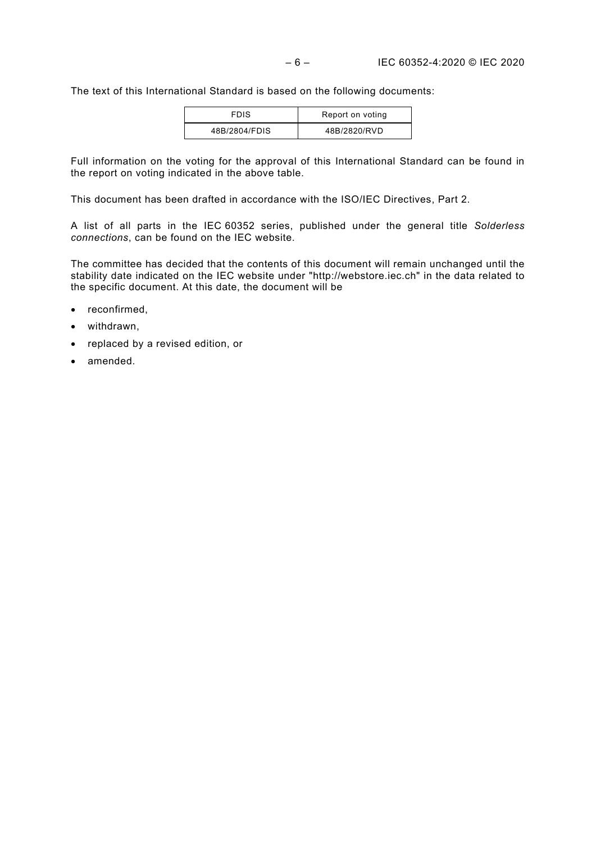The text of this International Standard is based on the following documents:

| <b>FDIS</b>   | Report on voting |
|---------------|------------------|
| 48B/2804/FDIS | 48B/2820/RVD     |

Full information on the voting for the approval of this International Standard can be found in the report on voting indicated in the above table.

This document has been drafted in accordance with the ISO/IEC Directives, Part 2.

A list of all parts in the IEC 60352 series, published under the general title *Solderless connections*, can be found on the IEC website.

The committee has decided that the contents of this document will remain unchanged until the stability date indicated on the IEC website under "http://webstore.iec.ch" in the data related to the specific document. At this date, the document will be

- reconfirmed,
- withdrawn,
- replaced by a revised edition, or
- amended.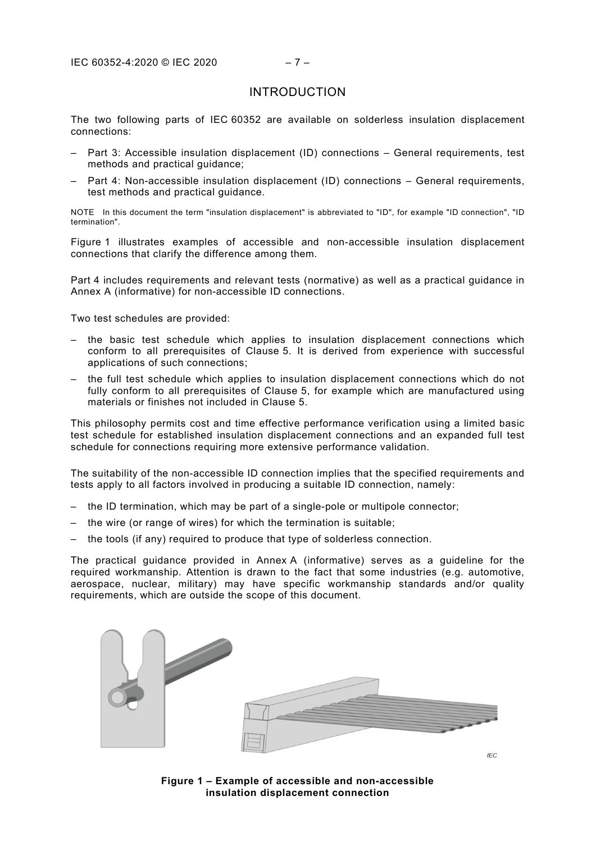#### INTRODUCTION

<span id="page-6-0"></span>The two following parts of IEC 60352 are available on solderless insulation displacement connections:

- Part 3: Accessible insulation displacement (ID) connections General requirements, test methods and practical guidance;
- Part 4: Non-accessible insulation displacement (ID) connections General requirements, test methods and practical guidance.

NOTE In this document the term "insulation displacement" is abbreviated to "ID", for example "ID connection", "ID termination".

[Figure 1](#page-6-1) illustrates examples of accessible and non-accessible insulation displacement connections that clarify the difference among them.

Part 4 includes requirements and relevant tests (normative) as well as a practical guidance in Annex A (informative) for non-accessible ID connections.

Two test schedules are provided:

- the basic test schedule which applies to insulation displacement connections which conform to all prerequisites of Clause 5. It is derived from experience with successful applications of such connections;
- the full test schedule which applies to insulation displacement connections which do not fully conform to all prerequisites of Clause 5, for example which are manufactured using materials or finishes not included in Clause 5.

This philosophy permits cost and time effective performance verification using a limited basic test schedule for established insulation displacement connections and an expanded full test schedule for connections requiring more extensive performance validation.

The suitability of the non-accessible ID connection implies that the specified requirements and tests apply to all factors involved in producing a suitable ID connection, namely:

- the ID termination, which may be part of a single-pole or multipole connector;
- the wire (or range of wires) for which the termination is suitable;
- the tools (if any) required to produce that type of solderless connection.

The practical guidance provided in Annex A (informative) serves as a guideline for the required workmanship. Attention is drawn to the fact that some industries (e.g. automotive, aerospace, nuclear, military) may have specific workmanship standards and/or quality requirements, which are outside the scope of this document.



**IEC** 

<span id="page-6-1"></span>**Figure 1 – Example of accessible and non-accessible insulation displacement connection**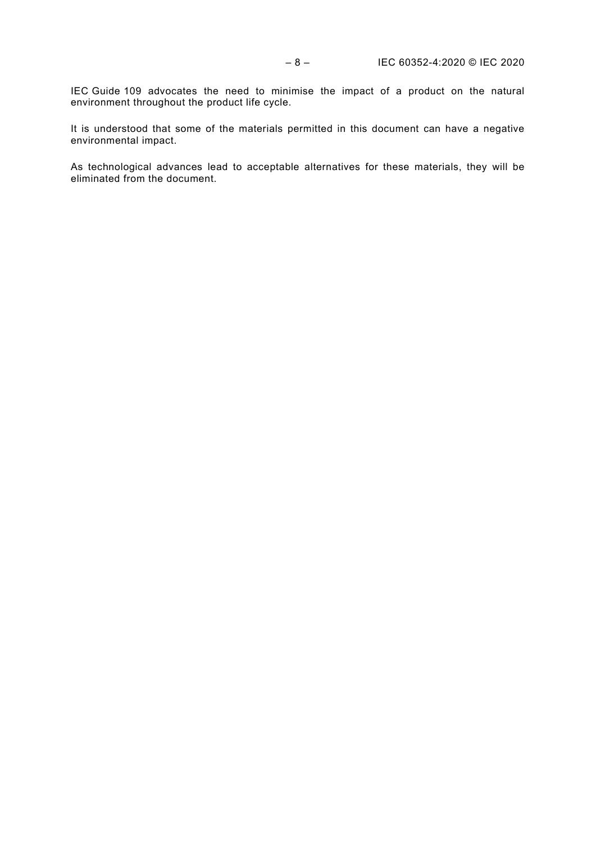IEC Guide 109 advocates the need to minimise the impact of a product on the natural environment throughout the product life cycle.

It is understood that some of the materials permitted in this document can have a negative environmental impact.

As technological advances lead to acceptable alternatives for these materials, they will be eliminated from the document.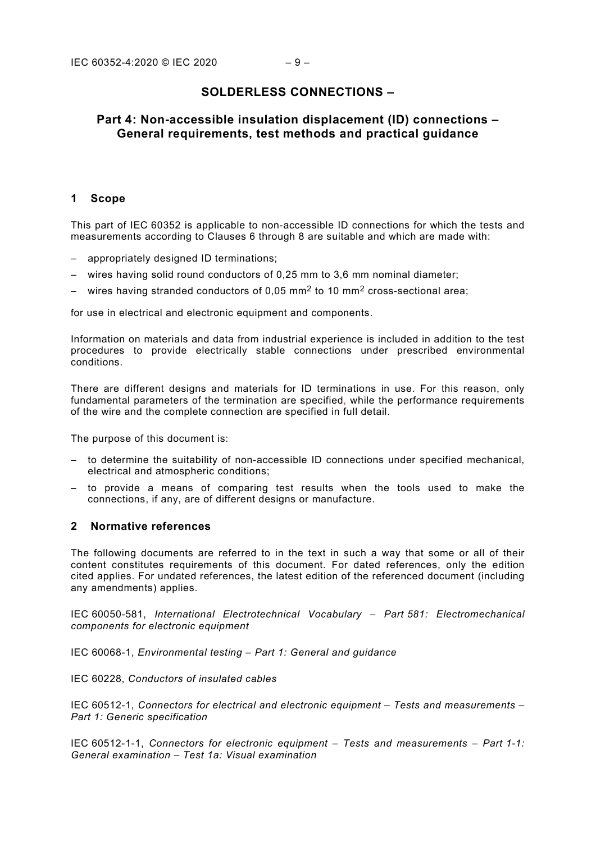# **SOLDERLESS CONNECTIONS –**

# **Part 4: Non-accessible insulation displacement (ID) connections – General requirements, test methods and practical guidance**

#### <span id="page-8-0"></span>**1 Scope**

This part of IEC 60352 is applicable to non-accessible ID connections for which the tests and measurements according to Clauses 6 through 8 are suitable and which are made with:

- appropriately designed ID terminations;
- wires having solid round conductors of 0,25 mm to 3,6 mm nominal diameter;
- wires having stranded conductors of 0,05 mm<sup>2</sup> to 10 mm<sup>2</sup> cross-sectional area;

for use in electrical and electronic equipment and components.

Information on materials and data from industrial experience is included in addition to the test procedures to provide electrically stable connections under prescribed environmental conditions.

There are different designs and materials for ID terminations in use. For this reason, only fundamental parameters of the termination are specified, while the performance requirements of the wire and the complete connection are specified in full detail.

The purpose of this document is:

- to determine the suitability of non-accessible ID connections under specified mechanical, electrical and atmospheric conditions;
- to provide a means of comparing test results when the tools used to make the connections, if any, are of different designs or manufacture.

#### <span id="page-8-1"></span>**2 Normative references**

The following documents are referred to in the text in such a way that some or all of their content constitutes requirements of this document. For dated references, only the edition cited applies. For undated references, the latest edition of the referenced document (including any amendments) applies.

IEC 60050-581, *International Electrotechnical Vocabulary – Part 581: Electromechanical components for electronic equipment*

IEC 60068-1, *Environmental testing – Part 1: General and guidance*

IEC 60228, *Conductors of insulated cables*

IEC 60512-1, *Connectors for electrical and electronic equipment – Tests and measurements – Part 1: Generic specification*

IEC 60512-1-1, *Connectors for electronic equipment – Tests and measurements – Part 11: General examination – Test 1a: Visual examination*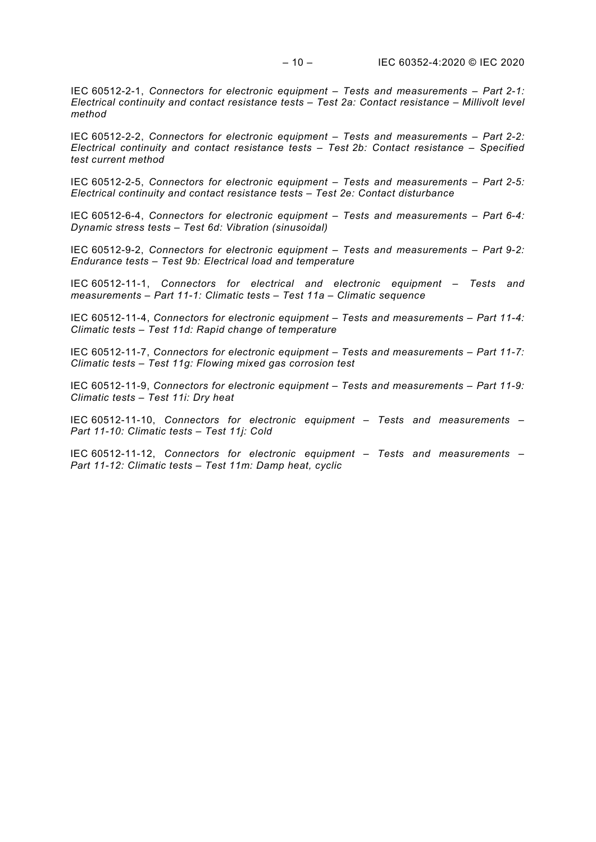IEC 60512-2-1, *Connectors for electronic equipment – Tests and measurements – Part 2-1: Electrical continuity and contact resistance tests – Test 2a: Contact resistance – Millivolt level method*

IEC 60512-2-2, *Connectors for electronic equipment – Tests and measurements – Part 22: Electrical continuity and contact resistance tests – Test 2b: Contact resistance – Specified test current method*

IEC 60512-2-5, *Connectors for electronic equipment – Tests and measurements – Part 25: Electrical continuity and contact resistance tests – Test 2e: Contact disturbance*

IEC 60512-6-4, *Connectors for electronic equipment – Tests and measurements – Part 64: Dynamic stress tests – Test 6d: Vibration (sinusoidal)*

IEC 60512-9-2, *Connectors for electronic equipment – Tests and measurements – Part 92: Endurance tests – Test 9b: Electrical load and temperature*

IEC 60512-11-1, *Connectors for electrical and electronic equipment – Tests and measurements – Part 11-1: Climatic tests – Test 11a – Climatic sequence*

IEC 60512-11-4, *Connectors for electronic equipment – Tests and measurements – Part 114: Climatic tests – Test 11d: Rapid change of temperature*

IEC 60512-11-7, *Connectors for electronic equipment – Tests and measurements – Part 11-7: Climatic tests – Test 11g: Flowing mixed gas corrosion test*

IEC 60512-11-9, *Connectors for electronic equipment – Tests and measurements – Part 119: Climatic tests – Test 11i: Dry heat* 

IEC 60512-11-10, *Connectors for electronic equipment – Tests and measurements – Part 1110: Climatic tests – Test 11j: Cold*

<span id="page-9-0"></span>IEC 60512-11-12, *Connectors for electronic equipment – Tests and measurements – Part 1112: Climatic tests – Test 11m: Damp heat, cyclic*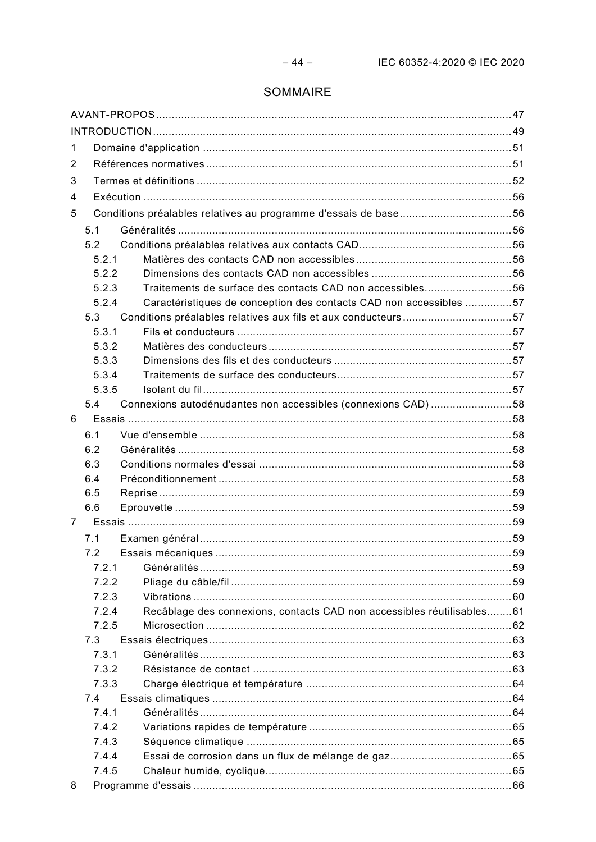# SOMMAIRE

| 1              |            |                                                                        |  |
|----------------|------------|------------------------------------------------------------------------|--|
| 2              |            |                                                                        |  |
| 3              |            |                                                                        |  |
| 4              |            |                                                                        |  |
| 5              |            | Conditions préalables relatives au programme d'essais de base56        |  |
|                | 5.1        |                                                                        |  |
|                | 5.2        |                                                                        |  |
|                | 5.2.1      |                                                                        |  |
|                | 5.2.2      |                                                                        |  |
|                | 5.2.3      | Traitements de surface des contacts CAD non accessibles56              |  |
|                | 5.2.4      | Caractéristiques de conception des contacts CAD non accessibles 57     |  |
|                | 5.3        | Conditions préalables relatives aux fils et aux conducteurs57          |  |
|                | 5.3.1      |                                                                        |  |
|                | 5.3.2      |                                                                        |  |
|                | 5.3.3      |                                                                        |  |
|                | 5.3.4      |                                                                        |  |
|                | 5.3.5      |                                                                        |  |
|                | 5.4        | Connexions autodénudantes non accessibles (connexions CAD)58           |  |
| 6              |            |                                                                        |  |
|                | 6.1        |                                                                        |  |
|                | 6.2        |                                                                        |  |
|                | 6.3<br>6.4 |                                                                        |  |
|                | 6.5        |                                                                        |  |
|                | 6.6        |                                                                        |  |
| $\overline{7}$ |            |                                                                        |  |
|                | 7.1        |                                                                        |  |
|                | 7.2        |                                                                        |  |
|                | 7.2.1      |                                                                        |  |
|                | 7.2.2      |                                                                        |  |
|                | 7.2.3      |                                                                        |  |
|                | 7.2.4      | Recâblage des connexions, contacts CAD non accessibles réutilisables61 |  |
|                | 7.2.5      |                                                                        |  |
|                | 7.3        |                                                                        |  |
|                | 7.3.1      |                                                                        |  |
|                | 7.3.2      |                                                                        |  |
|                | 7.3.3      |                                                                        |  |
|                | 7.4        |                                                                        |  |
|                | 7.4.1      |                                                                        |  |
|                | 7.4.2      |                                                                        |  |
|                | 7.4.3      |                                                                        |  |
|                | 7.4.4      |                                                                        |  |
|                | 7.4.5      |                                                                        |  |
| 8              |            |                                                                        |  |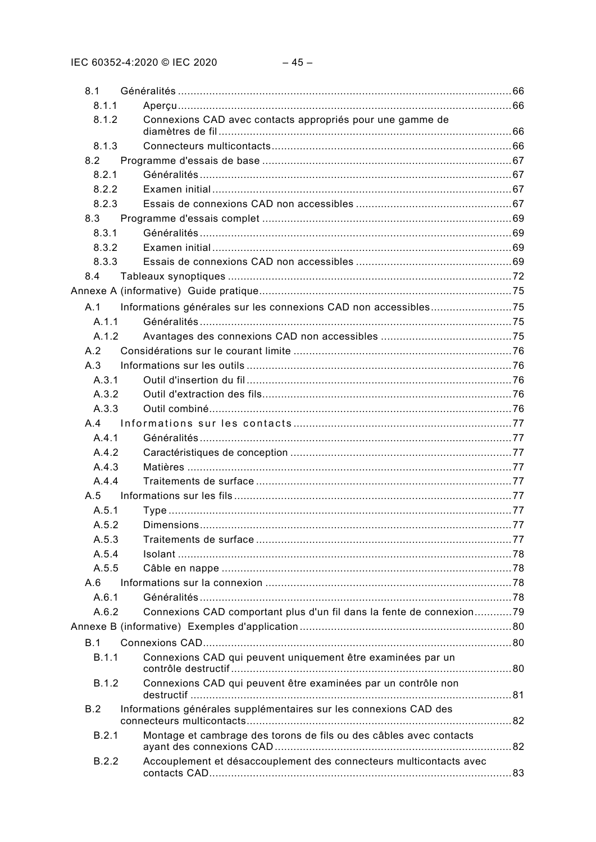| 8.1          |                                                                      |  |
|--------------|----------------------------------------------------------------------|--|
| 8.1.1        |                                                                      |  |
| 8.1.2        | Connexions CAD avec contacts appropriés pour une gamme de            |  |
| 8.1.3        |                                                                      |  |
| 8.2          |                                                                      |  |
| 8.2.1        |                                                                      |  |
| 8.2.2        |                                                                      |  |
| 8.2.3        |                                                                      |  |
| 8.3          |                                                                      |  |
| 8.3.1        |                                                                      |  |
| 8.3.2        |                                                                      |  |
| 8.3.3        |                                                                      |  |
| 8.4          |                                                                      |  |
|              |                                                                      |  |
| A.1          | Informations générales sur les connexions CAD non accessibles75      |  |
| A.1.1        |                                                                      |  |
| A.1.2        |                                                                      |  |
| A.2          |                                                                      |  |
| A.3          |                                                                      |  |
| A.3.1        |                                                                      |  |
| A.3.2        |                                                                      |  |
| A.3.3        |                                                                      |  |
| A.4          |                                                                      |  |
| A.4.1        |                                                                      |  |
| A.4.2        |                                                                      |  |
| A.4.3        |                                                                      |  |
| A.4.4        |                                                                      |  |
| A.5          |                                                                      |  |
| A.5.1        |                                                                      |  |
| A.5.2        |                                                                      |  |
| A.5.3        |                                                                      |  |
| A.5.4        |                                                                      |  |
| A.5.5        |                                                                      |  |
| A.6          |                                                                      |  |
| A.6.1        |                                                                      |  |
| A.6.2        | Connexions CAD comportant plus d'un fil dans la fente de connexion79 |  |
|              |                                                                      |  |
| B.1          |                                                                      |  |
| B.1.1        | Connexions CAD qui peuvent uniquement être examinées par un          |  |
|              |                                                                      |  |
| <b>B.1.2</b> | Connexions CAD qui peuvent être examinées par un contrôle non        |  |
| B.2          | Informations générales supplémentaires sur les connexions CAD des    |  |
| B.2.1        | Montage et cambrage des torons de fils ou des câbles avec contacts   |  |
| B.2.2        | Accouplement et désaccouplement des connecteurs multicontacts avec   |  |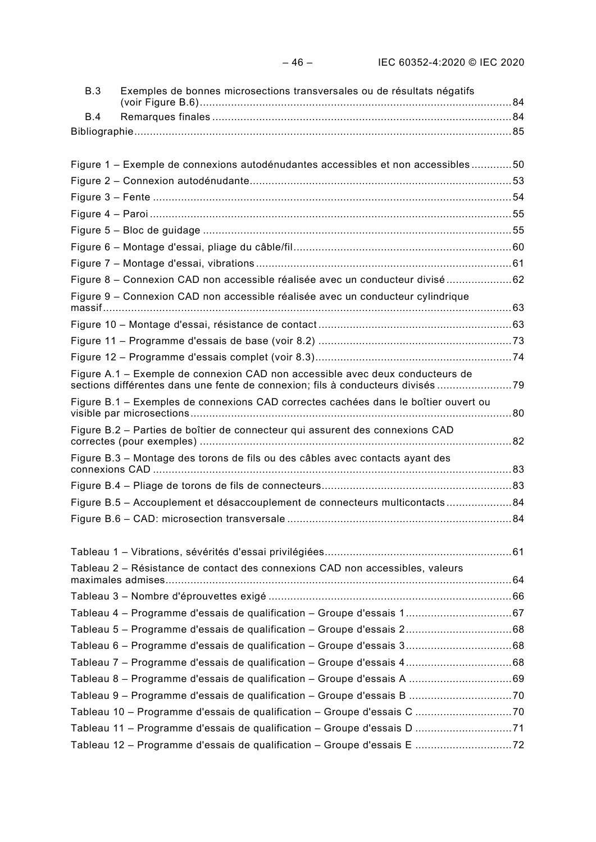| B.3 | Exemples de bonnes microsections transversales ou de résultats négatifs                                                                                          |  |
|-----|------------------------------------------------------------------------------------------------------------------------------------------------------------------|--|
| B.4 |                                                                                                                                                                  |  |
|     |                                                                                                                                                                  |  |
|     | Figure 1 – Exemple de connexions autodénudantes accessibles et non accessibles50                                                                                 |  |
|     |                                                                                                                                                                  |  |
|     |                                                                                                                                                                  |  |
|     |                                                                                                                                                                  |  |
|     |                                                                                                                                                                  |  |
|     |                                                                                                                                                                  |  |
|     |                                                                                                                                                                  |  |
|     | Figure 8 - Connexion CAD non accessible réalisée avec un conducteur divisé 62                                                                                    |  |
|     | Figure 9 – Connexion CAD non accessible réalisée avec un conducteur cylindrique                                                                                  |  |
|     |                                                                                                                                                                  |  |
|     |                                                                                                                                                                  |  |
|     |                                                                                                                                                                  |  |
|     | Figure A.1 – Exemple de connexion CAD non accessible avec deux conducteurs de<br>sections différentes dans une fente de connexion; fils à conducteurs divisés 79 |  |
|     | Figure B.1 - Exemples de connexions CAD correctes cachées dans le boîtier ouvert ou                                                                              |  |
|     | Figure B.2 - Parties de boîtier de connecteur qui assurent des connexions CAD                                                                                    |  |
|     | Figure B.3 – Montage des torons de fils ou des câbles avec contacts ayant des                                                                                    |  |
|     |                                                                                                                                                                  |  |
|     | Figure B.5 - Accouplement et désaccouplement de connecteurs multicontacts84                                                                                      |  |
|     |                                                                                                                                                                  |  |
|     |                                                                                                                                                                  |  |
|     | Tableau 2 - Résistance de contact des connexions CAD non accessibles, valeurs                                                                                    |  |
|     |                                                                                                                                                                  |  |
|     | Tableau 4 - Programme d'essais de qualification - Groupe d'essais 1 67                                                                                           |  |
|     | Tableau 5 - Programme d'essais de qualification - Groupe d'essais 268                                                                                            |  |
|     | Tableau 6 - Programme d'essais de qualification - Groupe d'essais 3 68                                                                                           |  |
|     |                                                                                                                                                                  |  |
|     |                                                                                                                                                                  |  |
|     | Tableau 9 – Programme d'essais de qualification – Groupe d'essais B 70                                                                                           |  |
|     | Tableau 10 - Programme d'essais de qualification - Groupe d'essais C 70                                                                                          |  |
|     | Tableau 11 - Programme d'essais de qualification - Groupe d'essais D 71                                                                                          |  |
|     | Tableau 12 - Programme d'essais de qualification - Groupe d'essais E 72                                                                                          |  |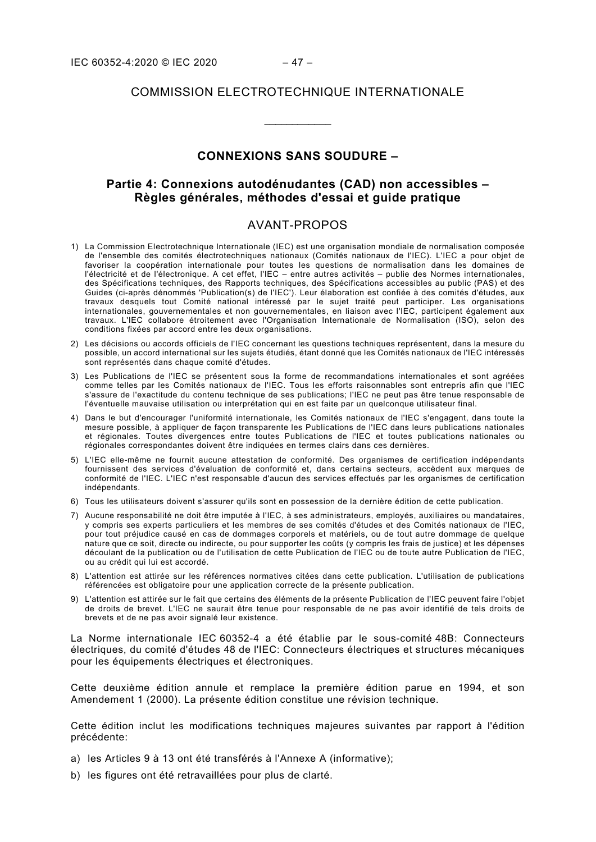## COMMISSION ELECTROTECHNIQUE INTERNATIONALE

\_\_\_\_\_\_\_\_\_\_\_\_

# **CONNEXIONS SANS SOUDURE –**

# **Partie 4: Connexions autodénudantes (CAD) non accessibles – Règles générales, méthodes d'essai et guide pratique**

#### AVANT-PROPOS

- <span id="page-13-0"></span>1) La Commission Electrotechnique Internationale (IEC) est une organisation mondiale de normalisation composée de l'ensemble des comités électrotechniques nationaux (Comités nationaux de l'IEC). L'IEC a pour objet de favoriser la coopération internationale pour toutes les questions de normalisation dans les domaines de l'électricité et de l'électronique. A cet effet, l'IEC – entre autres activités – publie des Normes internationales, des Spécifications techniques, des Rapports techniques, des Spécifications accessibles au public (PAS) et des Guides (ci-après dénommés 'Publication(s) de l'IEC'). Leur élaboration est confiée à des comités d'études, aux travaux desquels tout Comité national intéressé par le sujet traité peut participer. Les organisations internationales, gouvernementales et non gouvernementales, en liaison avec l'IEC, participent également aux travaux. L'IEC collabore étroitement avec l'Organisation Internationale de Normalisation (ISO), selon des conditions fixées par accord entre les deux organisations.
- 2) Les décisions ou accords officiels de l'IEC concernant les questions techniques représentent, dans la mesure du possible, un accord international sur les sujets étudiés, étant donné que les Comités nationaux de l'IEC intéressés sont représentés dans chaque comité d'études.
- 3) Les Publications de l'IEC se présentent sous la forme de recommandations internationales et sont agréées comme telles par les Comités nationaux de l'IEC. Tous les efforts raisonnables sont entrepris afin que l'IEC s'assure de l'exactitude du contenu technique de ses publications; l'IEC ne peut pas être tenue responsable de l'éventuelle mauvaise utilisation ou interprétation qui en est faite par un quelconque utilisateur final.
- 4) Dans le but d'encourager l'uniformité internationale, les Comités nationaux de l'IEC s'engagent, dans toute la mesure possible, à appliquer de façon transparente les Publications de l'IEC dans leurs publications nationales et régionales. Toutes divergences entre toutes Publications de l'IEC et toutes publications nationales ou régionales correspondantes doivent être indiquées en termes clairs dans ces dernières.
- 5) L'IEC elle-même ne fournit aucune attestation de conformité. Des organismes de certification indépendants fournissent des services d'évaluation de conformité et, dans certains secteurs, accèdent aux marques de conformité de l'IEC. L'IEC n'est responsable d'aucun des services effectués par les organismes de certification indépendants.
- 6) Tous les utilisateurs doivent s'assurer qu'ils sont en possession de la dernière édition de cette publication.
- 7) Aucune responsabilité ne doit être imputée à l'IEC, à ses administrateurs, employés, auxiliaires ou mandataires, y compris ses experts particuliers et les membres de ses comités d'études et des Comités nationaux de l'IEC, pour tout préjudice causé en cas de dommages corporels et matériels, ou de tout autre dommage de quelque nature que ce soit, directe ou indirecte, ou pour supporter les coûts (y compris les frais de justice) et les dépenses découlant de la publication ou de l'utilisation de cette Publication de l'IEC ou de toute autre Publication de l'IEC, ou au crédit qui lui est accordé.
- 8) L'attention est attirée sur les références normatives citées dans cette publication. L'utilisation de publications référencées est obligatoire pour une application correcte de la présente publication.
- 9) L'attention est attirée sur le fait que certains des éléments de la présente Publication de l'IEC peuvent faire l'objet de droits de brevet. L'IEC ne saurait être tenue pour responsable de ne pas avoir identifié de tels droits de brevets et de ne pas avoir signalé leur existence.

La Norme internationale IEC 60352-4 a été établie par le sous-comité 48B: Connecteurs électriques, du comité d'études 48 de l'IEC: Connecteurs électriques et structures mécaniques pour les équipements électriques et électroniques.

Cette deuxième édition annule et remplace la première édition parue en 1994, et son Amendement 1 (2000). La présente édition constitue une révision technique.

Cette édition inclut les modifications techniques majeures suivantes par rapport à l'édition précédente:

- a) les Articles 9 à 13 ont été transférés à l'Annexe A (informative);
- b) les figures ont été retravaillées pour plus de clarté.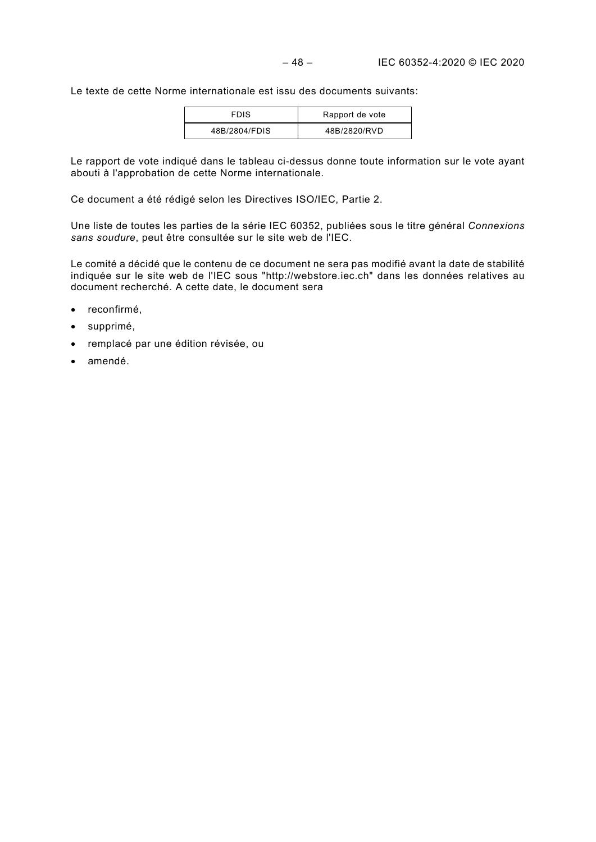Le texte de cette Norme internationale est issu des documents suivants:

| <b>FDIS</b>   | Rapport de vote |
|---------------|-----------------|
| 48B/2804/FDIS | 48B/2820/RVD    |

Le rapport de vote indiqué dans le tableau ci-dessus donne toute information sur le vote ayant abouti à l'approbation de cette Norme internationale.

Ce document a été rédigé selon les Directives ISO/IEC, Partie 2.

Une liste de toutes les parties de la série IEC 60352, publiées sous le titre général *Connexions sans soudure*, peut être consultée sur le site web de l'IEC.

Le comité a décidé que le contenu de ce document ne sera pas modifié avant la date de stabilité indiquée sur le site web de l'IEC sous "http://webstore.iec.ch" dans les données relatives au document recherché. A cette date, le document sera

- reconfirmé,
- supprimé,
- remplacé par une édition révisée, ou
- amendé.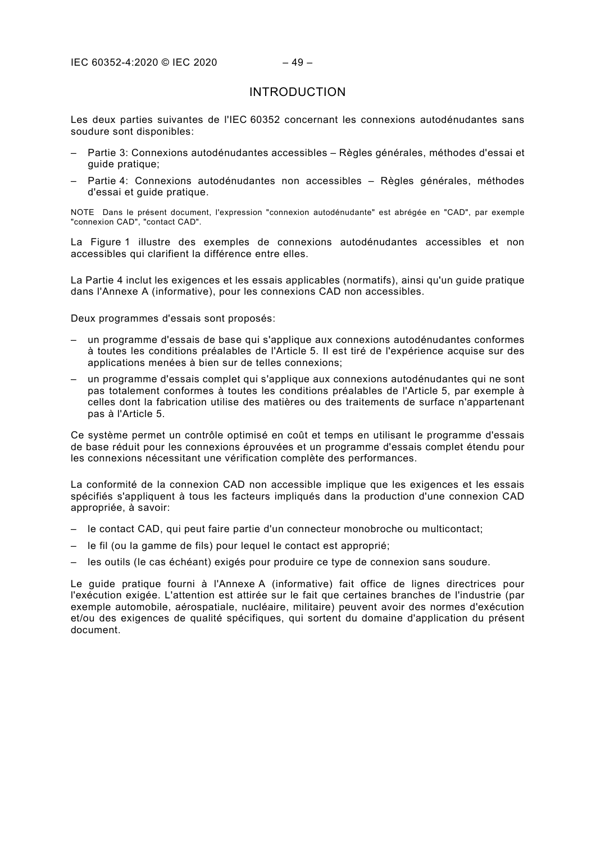#### INTRODUCTION

<span id="page-15-0"></span>Les deux parties suivantes de l'IEC 60352 concernant les connexions autodénudantes sans soudure sont disponibles:

- Partie 3: Connexions autodénudantes accessibles Règles générales, méthodes d'essai et guide pratique;
- Partie 4: Connexions autodénudantes non accessibles Règles générales, méthodes d'essai et guide pratique.

NOTE Dans le présent document, l'expression "connexion autodénudante" est abrégée en "CAD", par exemple "connexion CAD", "contact CAD".

La [Figure 1](#page-16-0) illustre des exemples de connexions autodénudantes accessibles et non accessibles qui clarifient la différence entre elles.

La Partie 4 inclut les exigences et les essais applicables (normatifs), ainsi qu'un guide pratique dans l'Annexe A (informative), pour les connexions CAD non accessibles.

Deux programmes d'essais sont proposés:

- un programme d'essais de base qui s'applique aux connexions autodénudantes conformes à toutes les conditions préalables de l'Article 5. Il est tiré de l'expérience acquise sur des applications menées à bien sur de telles connexions;
- un programme d'essais complet qui s'applique aux connexions autodénudantes qui ne sont pas totalement conformes à toutes les conditions préalables de l'Article 5, par exemple à celles dont la fabrication utilise des matières ou des traitements de surface n'appartenant pas à l'Article 5.

Ce système permet un contrôle optimisé en coût et temps en utilisant le programme d'essais de base réduit pour les connexions éprouvées et un programme d'essais complet étendu pour les connexions nécessitant une vérification complète des performances.

La conformité de la connexion CAD non accessible implique que les exigences et les essais spécifiés s'appliquent à tous les facteurs impliqués dans la production d'une connexion CAD appropriée, à savoir:

- le contact CAD, qui peut faire partie d'un connecteur monobroche ou multicontact;
- le fil (ou la gamme de fils) pour lequel le contact est approprié;
- les outils (le cas échéant) exigés pour produire ce type de connexion sans soudure.

Le guide pratique fourni à l'Annexe A (informative) fait office de lignes directrices pour l'exécution exigée. L'attention est attirée sur le fait que certaines branches de l'industrie (par exemple automobile, aérospatiale, nucléaire, militaire) peuvent avoir des normes d'exécution et/ou des exigences de qualité spécifiques, qui sortent du domaine d'application du présent document.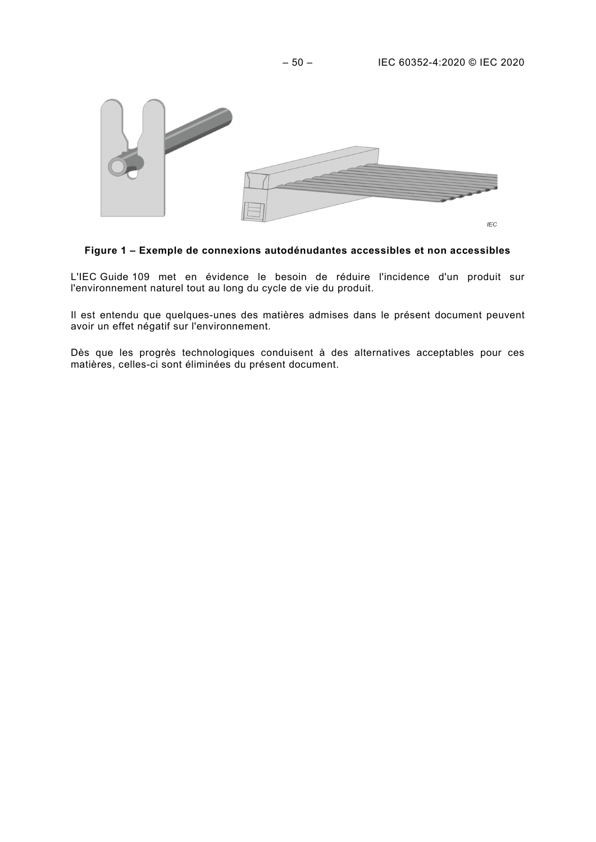

#### <span id="page-16-0"></span>**Figure 1 – Exemple de connexions autodénudantes accessibles et non accessibles**

L'IEC Guide 109 met en évidence le besoin de réduire l'incidence d'un produit sur l'environnement naturel tout au long du cycle de vie du produit.

Il est entendu que quelques-unes des matières admises dans le présent document peuvent avoir un effet négatif sur l'environnement.

Dès que les progrès technologiques conduisent à des alternatives acceptables pour ces matières, celles-ci sont éliminées du présent document.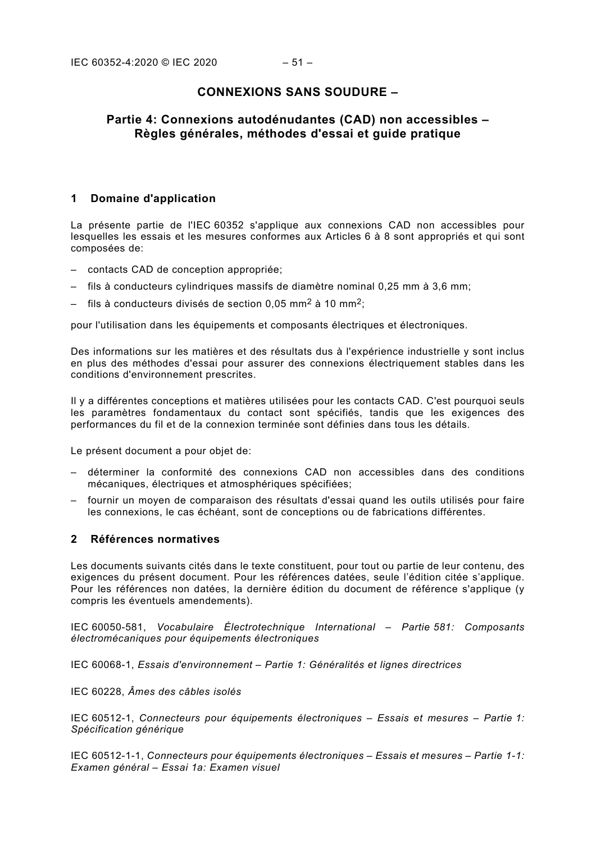## **CONNEXIONS SANS SOUDURE –**

# **Partie 4: Connexions autodénudantes (CAD) non accessibles – Règles générales, méthodes d'essai et guide pratique**

#### <span id="page-17-0"></span>**1 Domaine d'application**

La présente partie de l'IEC 60352 s'applique aux connexions CAD non accessibles pour lesquelles les essais et les mesures conformes aux Articles 6 à 8 sont appropriés et qui sont composées de:

- contacts CAD de conception appropriée;
- fils à conducteurs cylindriques massifs de diamètre nominal 0,25 mm à 3,6 mm;
- fils à conducteurs divisés de section 0,05 mm<sup>2</sup> à 10 mm<sup>2</sup>;

pour l'utilisation dans les équipements et composants électriques et électroniques.

Des informations sur les matières et des résultats dus à l'expérience industrielle y sont inclus en plus des méthodes d'essai pour assurer des connexions électriquement stables dans les conditions d'environnement prescrites.

Il y a différentes conceptions et matières utilisées pour les contacts CAD. C'est pourquoi seuls les paramètres fondamentaux du contact sont spécifiés, tandis que les exigences des performances du fil et de la connexion terminée sont définies dans tous les détails.

Le présent document a pour objet de:

- déterminer la conformité des connexions CAD non accessibles dans des conditions mécaniques, électriques et atmosphériques spécifiées;
- fournir un moyen de comparaison des résultats d'essai quand les outils utilisés pour faire les connexions, le cas échéant, sont de conceptions ou de fabrications différentes.

#### <span id="page-17-1"></span>**2 Références normatives**

Les documents suivants cités dans le texte constituent, pour tout ou partie de leur contenu, des exigences du présent document. Pour les références datées, seule l'édition citée s'applique. Pour les références non datées, la dernière édition du document de référence s'applique (y compris les éventuels amendements).

IEC 60050-581, *Vocabulaire Électrotechnique International – Partie 581: Composants électromécaniques pour équipements électroniques*

IEC 60068-1, *Essais d'environnement – Partie 1: Généralités et lignes directrices*

IEC 60228, *Âmes des câbles isolés*

IEC 60512-1, *Connecteurs pour équipements électroniques – Essais et mesures – Partie 1: Spécification générique*

IEC 60512-1-1, *Connecteurs pour équipements électroniques – Essais et mesures – Partie 11: Examen général – Essai 1a: Examen visuel*